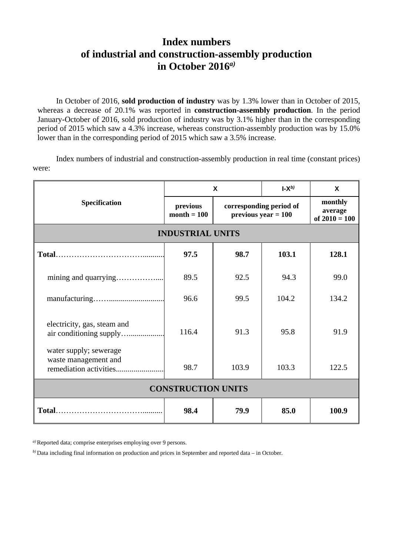## **Index numbers of industrial and construction-assembly production in October 2016***a)*

In October of 2016, **sold production of industry** was by 1.3% lower than in October of 2015, whereas a decrease of 20.1% was reported in **construction-assembly production**. In the period January-October of 2016, sold production of industry was by 3.1% higher than in the corresponding period of 2015 which saw a 4.3% increase, whereas construction-assembly production was by 15.0% lower than in the corresponding period of 2015 which saw a 3.5% increase.

Index numbers of industrial and construction-assembly production in real time (constant prices) were:

| Specification                                          | X                         |                                                  | $\mathsf{L} \mathsf{X}^{b}$ | X                                     |
|--------------------------------------------------------|---------------------------|--------------------------------------------------|-----------------------------|---------------------------------------|
|                                                        | previous<br>$month = 100$ | corresponding period of<br>$previous year = 100$ |                             | monthly<br>average<br>of $2010 = 100$ |
| <b>INDUSTRIAL UNITS</b>                                |                           |                                                  |                             |                                       |
|                                                        | 97.5                      | 98.7                                             | 103.1                       | 128.1                                 |
|                                                        | 89.5                      | 92.5                                             | 94.3                        | 99.0                                  |
|                                                        | 96.6                      | 99.5                                             | 104.2                       | 134.2                                 |
| electricity, gas, steam and<br>air conditioning supply | 116.4                     | 91.3                                             | 95.8                        | 91.9                                  |
| water supply; sewerage<br>waste management and         | 98.7                      | 103.9                                            | 103.3                       | 122.5                                 |
| <b>CONSTRUCTION UNITS</b>                              |                           |                                                  |                             |                                       |
| Total                                                  | 98.4                      | 79.9                                             | 85.0                        | 100.9                                 |

*a)*Reported data; comprise enterprises employing over 9 persons.

*b)* Data including final information on production and prices in September and reported data – in October.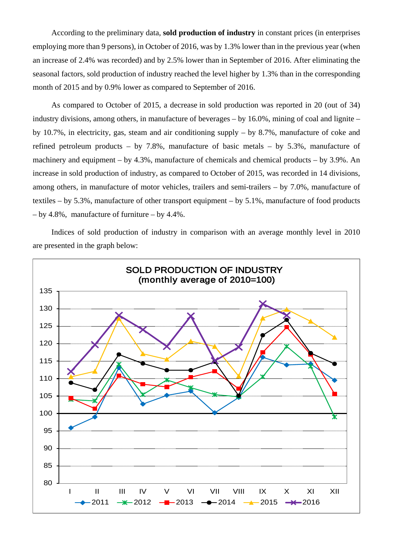According to the preliminary data, **sold production of industry** in constant prices (in enterprises employing more than 9 persons), in October of 2016, was by 1.3% lower than in the previous year (when an increase of 2.4% was recorded) and by 2.5% lower than in September of 2016. After eliminating the seasonal factors, sold production of industry reached the level higher by 1.3% than in the corresponding month of 2015 and by 0.9% lower as compared to September of 2016.

As compared to October of 2015, a decrease in sold production was reported in 20 (out of 34) industry divisions, among others, in manufacture of beverages – by 16.0%, mining of coal and lignite – by 10.7%, in electricity, gas, steam and air conditioning supply – by 8.7%, manufacture of coke and refined petroleum products – by 7.8%, manufacture of basic metals – by 5.3%, manufacture of machinery and equipment – by 4.3%, manufacture of chemicals and chemical products – by 3.9%. An increase in sold production of industry, as compared to October of 2015, was recorded in 14 divisions, among others, in manufacture of motor vehicles, trailers and semi-trailers – by 7.0%, manufacture of textiles – by 5.3%, manufacture of other transport equipment – by 5.1%, manufacture of food products – by 4.8%, manufacture of furniture – by 4.4%.

Indices of sold production of industry in comparison with an average monthly level in 2010 are presented in the graph below: